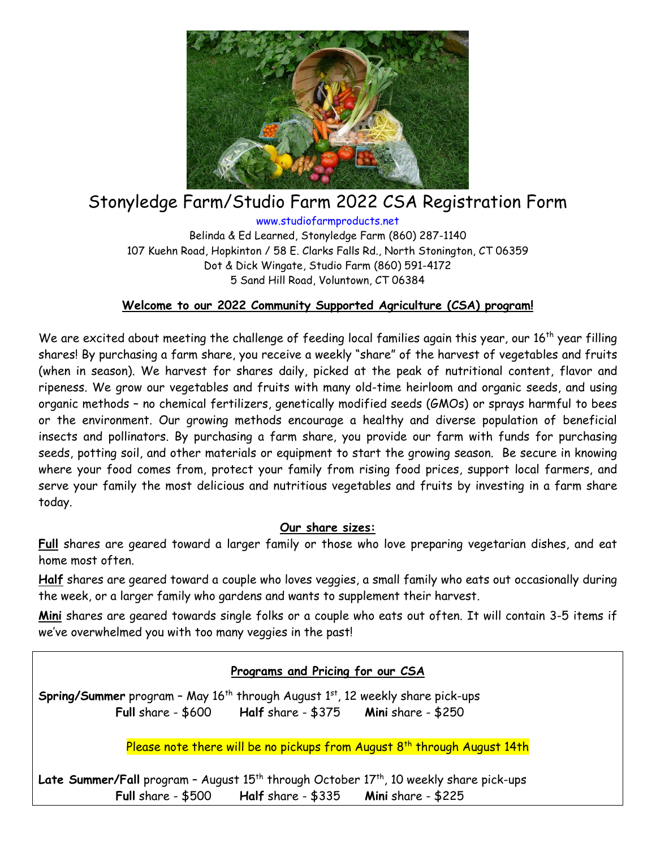

# Stonyledge Farm/Studio Farm 2022 CSA Registration Form

www.studiofarmproducts.net Belinda & Ed Learned, Stonyledge Farm (860) 287-1140 107 Kuehn Road, Hopkinton / 58 E. Clarks Falls Rd., North Stonington, CT 06359 Dot & Dick Wingate, Studio Farm (860) 591-4172 5 Sand Hill Road, Voluntown, CT 06384

## **Welcome to our 2022 Community Supported Agriculture (CSA) program!**

We are excited about meeting the challenge of feeding local families again this year, our 16<sup>th</sup> year filling shares! By purchasing a farm share, you receive a weekly "share" of the harvest of vegetables and fruits (when in season). We harvest for shares daily, picked at the peak of nutritional content, flavor and ripeness. We grow our vegetables and fruits with many old-time heirloom and organic seeds, and using organic methods – no chemical fertilizers, genetically modified seeds (GMOs) or sprays harmful to bees or the environment. Our growing methods encourage a healthy and diverse population of beneficial insects and pollinators. By purchasing a farm share, you provide our farm with funds for purchasing seeds, potting soil, and other materials or equipment to start the growing season. Be secure in knowing where your food comes from, protect your family from rising food prices, support local farmers, and serve your family the most delicious and nutritious vegetables and fruits by investing in a farm share today.

#### **Our share sizes:**

**Full** shares are geared toward a larger family or those who love preparing vegetarian dishes, and eat home most often.

**Half** shares are geared toward a couple who loves veggies, a small family who eats out occasionally during the week, or a larger family who gardens and wants to supplement their harvest.

**Mini** shares are geared towards single folks or a couple who eats out often. It will contain 3-5 items if we've overwhelmed you with too many veggies in the past!

#### **Programs and Pricing for our CSA**

**Spring/Summer** program – May 16<sup>th</sup> through August 1<sup>st</sup>, 12 weekly share pick-ups **Full** share - \$600 **Half** share - \$375 **Mini** share - \$250

Please note there will be no pickups from August 8<sup>th</sup> through August 14th

**Late Summer/Fall** program – August 15<sup>th</sup> through October 17<sup>th</sup>, 10 weekly share pick-ups **Full** share - \$500 **Half** share - \$335 **Mini** share - \$225